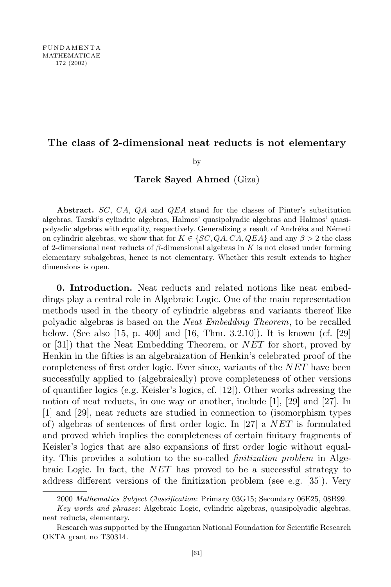## **The class of 2-dimensional neat reducts is not elementary**

by

**Tarek Sayed Ahmed** (Giza)

**Abstract.** *SC*, *CA*, *QA* and *QEA* stand for the classes of Pinter's substitution algebras, Tarski's cylindric algebras, Halmos' quasipolyadic algebras and Halmos' quasipolyadic algebras with equality, respectively. Generalizing a result of Andréka and Németi on cylindric algebras, we show that for  $K \in \{SC, QA, CA, QEA\}$  and any  $\beta > 2$  the class of 2-dimensional neat reducts of *β*-dimensional algebras in *K* is not closed under forming elementary subalgebras, hence is not elementary. Whether this result extends to higher dimensions is open.

**0. Introduction.** Neat reducts and related notions like neat embeddings play a central role in Algebraic Logic. One of the main representation methods used in the theory of cylindric algebras and variants thereof like polyadic algebras is based on the *Neat Embedding Theorem*, to be recalled below. (See also [15, p. 400] and [16, Thm. 3.2.10]). It is known (cf. [29] or [31]) that the Neat Embedding Theorem, or *NET* for short, proved by Henkin in the fifties is an algebraization of Henkin's celebrated proof of the completeness of first order logic. Ever since, variants of the *NET* have been successfully applied to (algebraically) prove completeness of other versions of quantifier logics (e.g. Keisler's logics, cf. [12]). Other works adressing the notion of neat reducts, in one way or another, include [1], [29] and [27]. In [1] and [29], neat reducts are studied in connection to (isomorphism types of) algebras of sentences of first order logic. In [27] a *NET* is formulated and proved which implies the completeness of certain finitary fragments of Keisler's logics that are also expansions of first order logic without equality. This provides a solution to the so-called *finitization problem* in Algebraic Logic. In fact, the *NET* has proved to be a successful strategy to address different versions of the finitization problem (see e.g. [35]). Very

<sup>2000</sup> *Mathematics Subject Classification*: Primary 03G15; Secondary 06E25, 08B99.

*Key words and phrases*: Algebraic Logic, cylindric algebras, quasipolyadic algebras, neat reducts, elementary.

Research was supported by the Hungarian National Foundation for Scientific Research OKTA grant no T30314.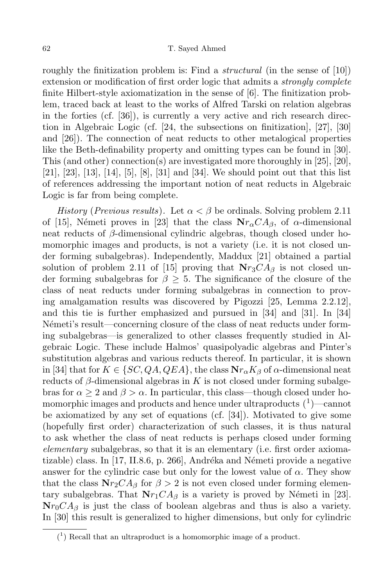roughly the finitization problem is: Find a *structural* (in the sense of [10]) extension or modification of first order logic that admits a *strongly complete* finite Hilbert-style axiomatization in the sense of [6]. The finitization problem, traced back at least to the works of Alfred Tarski on relation algebras in the forties (cf. [36]), is currently a very active and rich research direction in Algebraic Logic (cf. [24, the subsections on finitization], [27], [30] and [26]). The connection of neat reducts to other metalogical properties like the Beth-definability property and omitting types can be found in [30]. This (and other) connection(s) are investigated more thoroughly in [25], [20], [21], [23], [13], [14], [5], [8], [31] and [34]. We should point out that this list of references addressing the important notion of neat reducts in Algebraic Logic is far from being complete.

*History* (*Previous results*). Let  $\alpha < \beta$  be ordinals. Solving problem 2.11 of [15], Németi proves in [23] that the class  $Nr_{\alpha}CA_{\beta}$ , of *α*-dimensional neat reducts of *β*-dimensional cylindric algebras, though closed under homomorphic images and products, is not a variety (i.e. it is not closed under forming subalgebras). Independently, Maddux [21] obtained a partial solution of problem 2.11 of [15] proving that  $Nr_3CA_\beta$  is not closed under forming subalgebras for *β ≥* 5. The significance of the closure of the class of neat reducts under forming subalgebras in connection to proving amalgamation results was discovered by Pigozzi [25, Lemma 2.2.12], and this tie is further emphasized and pursued in [34] and [31]. In [34] N'emeti's result—concerning closure of the class of neat reducts under forming subalgebras—is generalized to other classes frequently studied in Algebraic Logic. These include Halmos' quasipolyadic algebras and Pinter's substitution algebras and various reducts thereof. In particular, it is shown in [34] that for  $K \in \{SC, QA, QEA\}$ , the class  $\mathbf{N}r_{\alpha}K_{\beta}$  of  $\alpha$ -dimensional neat reducts of  $\beta$ -dimensional algebras in  $K$  is not closed under forming subalgebras for  $\alpha > 2$  and  $\beta > \alpha$ . In particular, this class—though closed under homomorphic images and products and hence under ultraproducts  $(1)$ —cannot be axiomatized by any set of equations (cf. [34]). Motivated to give some (hopefully first order) characterization of such classes, it is thus natural to ask whether the class of neat reducts is perhaps closed under forming *elementary* subalgebras, so that it is an elementary (i.e. first order axiomatizable) class. In  $[17, 11.8.6, p. 266]$ , Andréka and Németi provide a negative answer for the cylindric case but only for the lowest value of  $\alpha$ . They show that the class  $Nr_2CA_\beta$  for  $\beta > 2$  is not even closed under forming elementary subalgebras. That  $Nr_1CA_\beta$  is a variety is proved by Németi in [23].  $Nr_0CA_\beta$  is just the class of boolean algebras and thus is also a variety. In [30] this result is generalized to higher dimensions, but only for cylindric

 $(1)$  Recall that an ultraproduct is a homomorphic image of a product.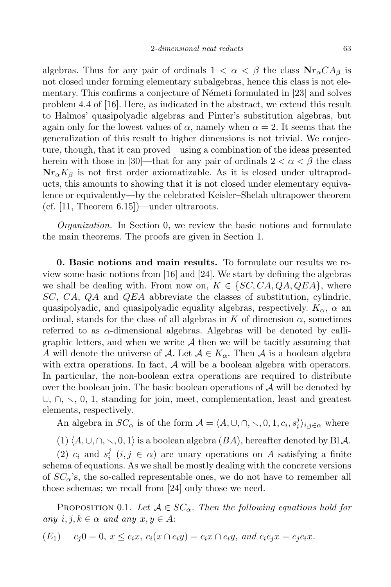algebras. Thus for any pair of ordinals  $1 < \alpha < \beta$  the class  $N r_{\alpha} C A_{\beta}$  is not closed under forming elementary subalgebras, hence this class is not elementary. This confirms a conjecture of Németi formulated in [23] and solves problem 4.4 of [16]. Here, as indicated in the abstract, we extend this result to Halmos' quasipolyadic algebras and Pinter's substitution algebras, but again only for the lowest values of  $\alpha$ , namely when  $\alpha = 2$ . It seems that the generalization of this result to higher dimensions is not trivial. We conjecture, though, that it can proved—using a combination of the ideas presented herein with those in [30]—that for any pair of ordinals  $2 < \alpha < \beta$  the class  $Nr_{\alpha}K_{\beta}$  is not first order axiomatizable. As it is closed under ultraproducts, this amounts to showing that it is not closed under elementary equivalence or equivalently—by the celebrated Keisler–Shelah ultrapower theorem (cf. [11, Theorem 6.15])—under ultraroots.

*Organization.* In Section 0, we review the basic notions and formulate the main theorems. The proofs are given in Section 1.

**0. Basic notions and main results.** To formulate our results we review some basic notions from [16] and [24]. We start by defining the algebras we shall be dealing with. From now on,  $K \in \{SC, CA, QA, QEA\}$ , where *SC*, *CA*, *QA* and *QEA* abbreviate the classes of substitution, cylindric, quasipolyadic, and quasipolyadic equality algebras, respectively. *Kα*, *α* an ordinal, stands for the class of all algebras in  $K$  of dimension  $\alpha$ , sometimes referred to as *α*-dimensional algebras. Algebras will be denoted by calligraphic letters, and when we write *A* then we will be tacitly assuming that *A* will denote the universe of *A*. Let  $A \in K_\alpha$ . Then *A* is a boolean algebra with extra operations. In fact,  $A$  will be a boolean algebra with operators. In particular, the non-boolean extra operations are required to distribute over the boolean join. The basic boolean operations of *A* will be denoted by *∪*,  $\cap$ ,  $\setminus$ , 0, 1, standing for join, meet, complementation, least and greatest elements, respectively.

An algebra in  $SC_{\alpha}$  is of the form  $\mathcal{A} = \langle A, \cup, \cap, \setminus, 0, 1, c_i, s_i^j \rangle$  $\binom{J}{i}$ *i*,*j*∈*α* where

 $(1)$   $\langle A, \cup, \cap, \setminus, 0, 1 \rangle$  is a boolean algebra  $(BA)$ , hereafter denoted by Bl *A*.

(2)  $c_i$  and  $s_i^j$  $i \ (i,j \in \alpha)$  are unary operations on *A* satisfying a finite schema of equations. As we shall be mostly dealing with the concrete versions of *SCα*'s, the so-called representable ones, we do not have to remember all those schemas; we recall from [24] only those we need.

PROPOSITION 0.1. Let  $A \in SC_{\alpha}$ . Then the following equations hold for  $any \ i, j, k \in \alpha \ and \ any \ x, y \in A$ :

$$
(E_1) \quad c_j 0 = 0, \ x \le c_i x, \ c_i(x \cap c_i y) = c_i x \cap c_i y, \ and \ c_i c_j x = c_j c_i x.
$$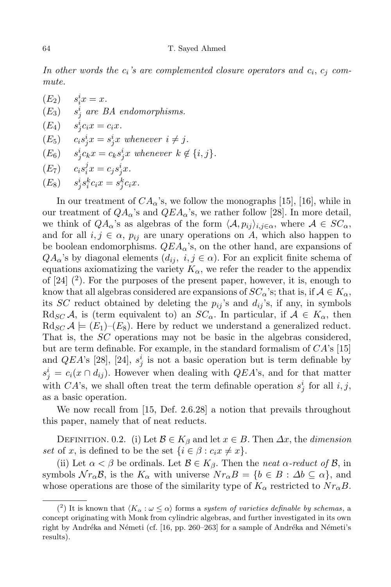*In other words the ci's are complemented closure operators and c<sup>i</sup>* , *c<sup>j</sup> commute.*

 $(E_2)$   $s_i^i x = x.$ (*E*3) *s i j are BA endomorphisms.*  $(E_4)$   $s_j^i c_i x = c_i x.$  $(E_5)$   $c_i s_j^i x = s_j^i x$  whenever  $i \neq j$ .  $(E_6)$   $s_j^i c_k x = c_k s_j^i x$  whenever  $k \notin \{i, j\}.$  $(E_7)$   $c_i s_i^j$  $i^j x = c_j s^i_j x.$ 

 $(E_8)$   $s_j^i s_i^k c_i x = s_j^k c_i x.$ 

In our treatment of  $CA_{\alpha}$ 's, we follow the monographs [15], [16], while in our treatment of  $QA_{\alpha}$ 's and  $QEA_{\alpha}$ 's, we rather follow [28]. In more detail, we think of  $QA_{\alpha}$ 's as algebras of the form  $\langle A, p_{ij} \rangle_{i,j \in \alpha}$ , where  $A \in SC_{\alpha}$ , and for all  $i, j \in \alpha$ ,  $p_{ij}$  are unary operations on *A*, which also happen to be boolean endomorphisms. *QEAα*'s, on the other hand, are expansions of  $QA_{\alpha}$ 's by diagonal elements  $(d_{ij}, i, j \in \alpha)$ . For an explicit finite schema of equations axiomatizing the variety  $K_{\alpha}$ , we refer the reader to the appendix of  $[24]$   $(2)$ . For the purposes of the present paper, however, it is, enough to know that all algebras considered are expansions of  $SC_{\alpha}$ 's; that is, if  $A \in K_{\alpha}$ , its *SC* reduct obtained by deleting the  $p_{ij}$ 's and  $d_{ij}$ 's, if any, in symbols Rd<sub>*SC*</sub> *A*, is (term equivalent to) an  $SC_{\alpha}$ . In particular, if  $A \in K_{\alpha}$ , then  $R\text{d}_{SC}\mathcal{A} \models (E_1)$ – $(E_8)$ . Here by reduct we understand a generalized reduct. That is, the *SC* operations may not be basic in the algebras considered, but are term definable. For example, in the standard formalism of *CA*'s [15] and *QEA*'s [28], [24],  $s_j^i$  is not a basic operation but is term definable by  $s_j^i = c_i(x \cap d_{ij})$ . However when dealing with *QEA*'s, and for that matter with *CA*'s, we shall often treat the term definable operation  $s_j^i$  for all  $i, j$ , as a basic operation.

We now recall from [15, Def. 2.6.28] a notion that prevails throughout this paper, namely that of neat reducts.

DEFINITION. 0.2. (i) Let  $\mathcal{B} \in K_{\beta}$  and let  $x \in B$ . Then  $\Delta x$ , the *dimension set* of *x*, is defined to be the set  $\{i \in \beta : c_i x \neq x\}$ .

(ii) Let  $\alpha < \beta$  be ordinals. Let  $\beta \in K_{\beta}$ . Then the *neat*  $\alpha$ -reduct of  $\beta$ , in symbols  $\mathcal{N}r_{\alpha}\mathcal{B}$ , is the  $K_{\alpha}$  with universe  $\mathcal{N}r_{\alpha}B = \{b \in B : \Delta b \subseteq \alpha\}$ , and whose operations are those of the similarity type of  $K_{\alpha}$  restricted to  $Nr_{\alpha}B$ .

<sup>(&</sup>lt;sup>2</sup>) It is known that  $\langle K_{\alpha} : \omega \leq \alpha \rangle$  forms a *system of varieties definable by schemas*, a concept originating with Monk from cylindric algebras, and further investigated in its own right by Andréka and Németi (cf. [16, pp. 260–263] for a sample of Andréka and Németi's results).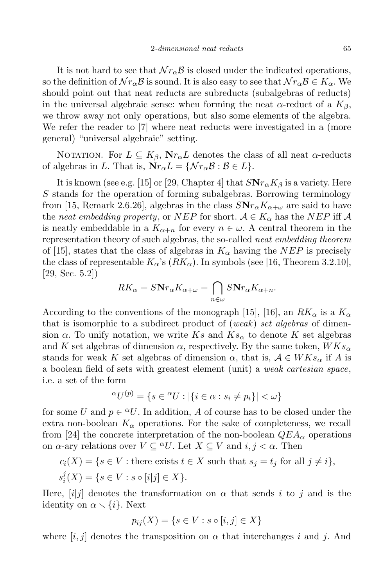It is not hard to see that  $\mathcal{N}r_{\alpha}\mathcal{B}$  is closed under the indicated operations, so the definition of  $\mathcal{N}r_\alpha\mathcal{B}$  is sound. It is also easy to see that  $\mathcal{N}r_\alpha\mathcal{B} \in K_\alpha$ . We should point out that neat reducts are subreducts (subalgebras of reducts) in the universal algebraic sense: when forming the neat  $\alpha$ -reduct of a  $K_{\beta}$ , we throw away not only operations, but also some elements of the algebra. We refer the reader to [7] where neat reducts were investigated in a (more general) "universal algebraic" setting.

NOTATION. For  $L \subseteq K_{\beta}$ ,  $N r_{\alpha} L$  denotes the class of all neat  $\alpha$ -reducts of algebras in *L*. That is,  $N r_{\alpha} L = \{ \mathcal{N} r_{\alpha} \mathcal{B} : \mathcal{B} \in L \}.$ 

It is known (see e.g. [15] or [29, Chapter 4] that  $S\mathbf{N}r_{\alpha}K_{\beta}$  is a variety. Here *S* stands for the operation of forming subalgebras. Borrowing terminology from [15, Remark 2.6.26], algebras in the class  $S\mathbf{N}r_{\alpha}K_{\alpha+\omega}$  are said to have the *neat* embedding property, or *NEP* for short.  $A \in K_{\alpha}$  has the *NEP* iff A is neatly embeddable in a  $K_{\alpha+n}$  for every  $n \in \omega$ . A central theorem in the representation theory of such algebras, the so-called *neat embedding theorem* of [15], states that the class of algebras in  $K_{\alpha}$  having the *NEP* is precisely the class of representable  $K_{\alpha}$ 's  $(RK_{\alpha})$ . In symbols (see [16, Theorem 3.2.10], [29, Sec. 5.2])

$$
RK_{\alpha} = SNr_{\alpha}K_{\alpha+\omega} = \bigcap_{n \in \omega} SNr_{\alpha}K_{\alpha+n}.
$$

According to the conventions of the monograph [15], [16], an  $RK_\alpha$  is a  $K_\alpha$ that is isomorphic to a subdirect product of (*weak*) *set algebras* of dimension  $\alpha$ . To unify notation, we write  $Ks$  and  $Ks_{\alpha}$  to denote K set algebras and *K* set algebras of dimension  $\alpha$ , respectively. By the same token,  $W K s_{\alpha}$ stands for weak *K* set algebras of dimension  $\alpha$ , that is,  $A \in W K s_{\alpha}$  if *A* is a boolean field of sets with greatest element (unit) a *weak cartesian space*, i.e. a set of the form

$$
{}^{\alpha}U^{(p)} = \{ s \in {}^{\alpha}U : |\{ i \in \alpha : s_i \neq p_i \}| < \omega \}
$$

for some *U* and  $p \in \alpha U$ . In addition, *A* of course has to be closed under the extra non-boolean  $K_{\alpha}$  operations. For the sake of completeness, we recall from [24] the concrete interpretation of the non-boolean  $QEA_{\alpha}$  operations on  $\alpha$ -ary relations over  $V \subseteq {}^{\alpha}U$ . Let  $X \subseteq V$  and  $i, j < \alpha$ . Then

$$
c_i(X) = \{ s \in V : \text{there exists } t \in X \text{ such that } s_j = t_j \text{ for all } j \neq i \},
$$

$$
s_i^j(X) = \{ s \in V : s \circ [i|j] \in X \}.
$$

Here,  $[i]$  denotes the transformation on  $\alpha$  that sends *i* to *j* and is the identity on  $\alpha \setminus \{i\}$ . Next

$$
p_{ij}(X) = \{ s \in V : s \circ [i, j] \in X \}
$$

where  $[i, j]$  denotes the transposition on  $\alpha$  that interchanges *i* and *j*. And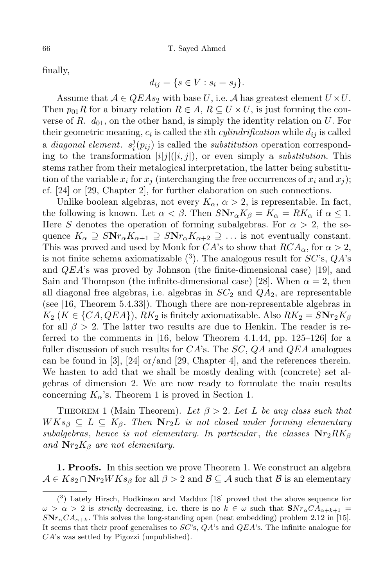finally,

$$
d_{ij} = \{s \in V : s_i = s_j\}.
$$

Assume that  $A \in QEAs_2$  with base *U*, i.e. A has greatest element  $U \times U$ . Then  $p_{01}R$  for a binary relation  $R \in A$ ,  $R \subseteq U \times U$ , is just forming the converse of *R*.  $d_{01}$ , on the other hand, is simply the identity relation on *U*. For their geometric meaning,  $c_i$  is called the *i*<sup>th</sup> *cylindrification* while  $d_{ij}$  is called  $a$  *diagonal element.*  $s_i^j$  $i(p_{ij})$  is called the *substitution* operation corresponding to the transformation  $[i]j[(i,j])$ , or even simply a *substitution*. This stems rather from their metalogical interpretation, the latter being substitution of the variable  $x_i$  for  $x_j$  (interchanging the free occurrences of  $x_i$  and  $x_j$ ); cf. [24] or [29, Chapter 2], for further elaboration on such connections.

Unlike boolean algebras, not every  $K_{\alpha}$ ,  $\alpha > 2$ , is representable. In fact, the following is known. Let  $\alpha < \beta$ . Then  $S\mathbf{N}r_{\alpha}K_{\beta} = K_{\alpha} = RK_{\alpha}$  if  $\alpha \leq 1$ . Here *S* denotes the operation of forming subalgebras. For  $\alpha > 2$ , the sequence  $K_{\alpha} \supseteq S\mathbf{N}r_{\alpha}K_{\alpha+1} \supseteq S\mathbf{N}r_{\alpha}K_{\alpha+2} \supseteq \ldots$  is not eventually constant. This was proved and used by Monk for *CA*'s to show that  $RCA_\alpha$ , for  $\alpha > 2$ , is not finite schema axiomatizable ( 3 ). The analogous result for *SC*'s, *QA*'s and *QEA*'s was proved by Johnson (the finite-dimensional case) [19], and Sain and Thompson (the infinite-dimensional case) [28]. When  $\alpha = 2$ , then all diagonal free algebras, i.e. algebras in  $SC_2$  and  $QA_2$ , are representable (see [16, Theorem 5.4.33]). Though there are non-representable algebras in  $K_2$  (*K*  $\in$  {*CA,*  $QEA$ }), *RK*<sub>2</sub> is finitely axiomatizable. Also  $RK_2 = SNr_2K_\beta$ for all *β >* 2. The latter two results are due to Henkin. The reader is referred to the comments in [16, below Theorem 4.1.44, pp. 125–126] for a fuller discussion of such results for *CA*'s. The *SC*, *QA* and *QEA* analogues can be found in [3], [24] or/and [29, Chapter 4], and the references therein. We hasten to add that we shall be mostly dealing with (concrete) set algebras of dimension 2. We are now ready to formulate the main results concerning  $K_{\alpha}$ 's. Theorem 1 is proved in Section 1.

THEOREM 1 (Main Theorem). Let  $\beta > 2$ . Let L be any class such that  $W K s_{\beta} \subseteq L \subseteq K_{\beta}$ . Then  $N r_{2} L$  *is not closed under forming elementary subalgebras*, *hence is not elementary.* In particular, the classes  $Nr_2RK_\beta$ *and* **N***r*2*K<sup>β</sup> are not elementary.*

**1. Proofs.** In this section we prove Theorem 1. We construct an algebra  $A \in Ks_2 \cap \mathbf{N}r_2WKs_\beta$  for all  $\beta > 2$  and  $\mathcal{B} \subseteq \mathcal{A}$  such that  $\mathcal{B}$  is an elementary

<sup>(</sup> 3 ) Lately Hirsch, Hodkinson and Maddux [18] proved that the above sequence for  $\omega > \alpha > 2$  is *strictly* decreasing, i.e. there is no  $k \in \omega$  such that  $\mathbf{S}Nr_{\alpha}CA_{\alpha+k+1}$  $S\mathbf{N}r_{\alpha}CA_{\alpha+k}$ . This solves the long-standing open (neat embedding) problem 2.12 in [15]. It seems that their proof generalises to *SC*'s, *QA*'s and *QEA*'s. The infinite analogue for *CA*'s was settled by Pigozzi (unpublished).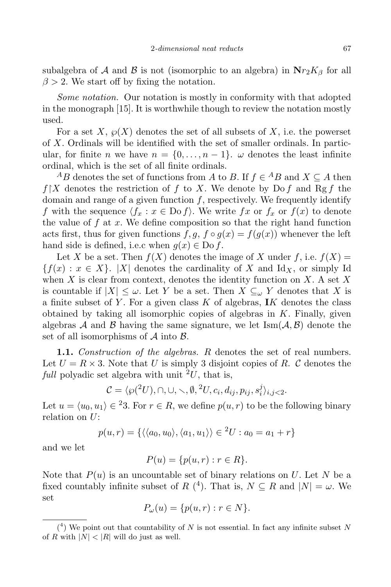subalgebra of *A* and *B* is not (isomorphic to an algebra) in  $Nr_2K_\beta$  for all  $\beta$  > 2. We start off by fixing the notation.

*Some notation.* Our notation is mostly in conformity with that adopted in the monograph [15]. It is worthwhile though to review the notation mostly used.

For a set X,  $\wp(X)$  denotes the set of all subsets of X, i.e. the powerset of *X*. Ordinals will be identified with the set of smaller ordinals. In particular, for finite *n* we have  $n = \{0, \ldots, n-1\}$ .  $\omega$  denotes the least infinite ordinal, which is the set of all finite ordinals.

*AB* denotes the set of functions from *A* to *B*. If  $f \in {}^A B$  and  $X \subseteq A$  then  $f[X]$  denotes the restriction of f to X. We denote by Do f and Rg f the domain and range of a given function *f*, respectively. We frequently identify *f* with the sequence  $\langle f_x : x \in \text{Do } f \rangle$ . We write  $fx$  or  $f_x$  or  $f(x)$  to denote the value of  $f$  at  $x$ . We define composition so that the right hand function acts first, thus for given functions  $f, g, f \circ g(x) = f(g(x))$  whenever the left hand side is defined, i.e.c when  $g(x) \in Do f$ .

Let *X* be a set. Then  $f(X)$  denotes the image of *X* under *f*, i.e.  $f(X) =$  ${f(x): x \in X}$ . *|X|* denotes the cardinality of *X* and Id<sub>X</sub>, or simply Id when *X* is clear from context, denotes the identity function on *X*. A set *X* is countable if  $|X| \leq \omega$ . Let *Y* be a set. Then  $X \subseteq_{\omega} Y$  denotes that *X* is a finite subset of *Y* . For a given class *K* of algebras, **I***K* denotes the class obtained by taking all isomorphic copies of algebras in *K*. Finally, given algebras *A* and *B* having the same signature, we let  $\text{Ism}(\mathcal{A}, \mathcal{B})$  denote the set of all isomorphisms of *A* into *B*.

**1.1.** *Construction of the algebras. R* denotes the set of real numbers. Let  $U = R \times 3$ . Note that *U* is simply 3 disjoint copies of *R*. *C* denotes the *full* polyadic set algebra with unit  $^{2}U$ , that is,

$$
\mathcal{C} = \langle \wp({}^2U), \cap, \cup, \setminus, \emptyset, {}^2U, c_i, d_{ij}, p_{ij}, s_i^j \rangle_{i,j < 2}.
$$

Let  $u = \langle u_0, u_1 \rangle \in \{2\}$ . For  $r \in R$ , we define  $p(u, r)$  to be the following binary relation on *U*:

$$
p(u,r) = \{ \langle \langle a_0, u_0 \rangle, \langle a_1, u_1 \rangle \rangle \in {}^2U : a_0 = a_1 + r \}
$$

and we let

$$
P(u) = \{p(u,r) : r \in R\}.
$$

Note that  $P(u)$  is an uncountable set of binary relations on *U*. Let *N* be a fixed countably infinite subset of *R* (<sup>4</sup>). That is,  $N \subseteq R$  and  $|N| = \omega$ . We set

$$
P_{\omega}(u) = \{p(u,r) : r \in N\}.
$$

 $(4)$  We point out that countability of *N* is not essential. In fact any infinite subset *N* of *R* with  $|N| < |R|$  will do just as well.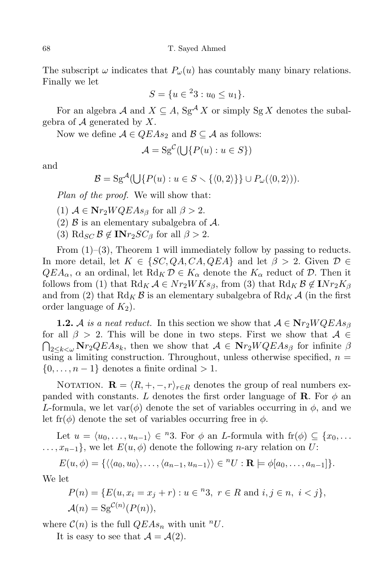The subscript  $\omega$  indicates that  $P_\omega(u)$  has countably many binary relations. Finally we let

$$
S = \{u \in {}^{2}3 : u_0 \le u_1\}.
$$

For an algebra *A* and  $X \subseteq A$ , Sg<sup>*A*</sup> *X* or simply Sg *X* denotes the subalgebra of *A* generated by *X*.

Now we define  $A \in QEAs_2$  and  $B \subseteq A$  as follows:

$$
\mathcal{A} = \mathrm{Sg}^{\mathcal{C}}(\bigcup \{P(u) : u \in S\})
$$

and

$$
\mathcal{B} = \mathrm{Sg}^{\mathcal{A}}(\bigcup \{P(u) : u \in S \smallsetminus \{ \langle 0, 2 \rangle \} \} \cup P_{\omega}(\langle 0, 2 \rangle)).
$$

*Plan of the proof.* We will show that:

 $(1)$   $A \in \mathbf{N}r_2WQEAs_{\beta}$  for all  $\beta > 2$ .

(2) *B* is an elementary subalgebra of *A*.

 $(3)$   $\text{Rd}_{SC}$   $\mathcal{B} \notin \mathbf{INr}_2SC_{\beta}$  for all  $\beta > 2$ .

From  $(1)$ – $(3)$ , Theorem 1 will immediately follow by passing to reducts. In more detail, let  $K \in \{SC, QA, CA, QEA\}$  and let  $\beta > 2$ . Given  $D \in$  $QEA_{\alpha}$ ,  $\alpha$  an ordinal, let  $R\mathrm{d}_K \mathcal{D} \in K_{\alpha}$  denote the  $K_{\alpha}$  reduct of  $\mathcal{D}$ . Then it follows from (1) that  $R$ d<sub>K</sub>  $A \in \mathbb{N}$ r<sub>2</sub>*WKs*<sub>*β*</sub>, from (3) that  $R$ d<sub>K</sub>  $B \notin \mathbb{N}$ r<sub>2</sub> $K$ <sub>*β*</sub> and from (2) that  $\text{Rd}_K \mathcal{B}$  is an elementary subalgebra of  $\text{Rd}_K \mathcal{A}$  (in the first order language of  $K_2$ ).

**1.2.** *A is a neat* reduct. In this section we show that  $A \in \mathbf{N}r_2WQEAs$ <sup>*β*</sup> for all  $\beta > 2$ . This will be done in two steps. First we show that  $\mathcal{A} \in$  $\bigcap_{2 \leq k < \omega} \mathbf{N}r_2QEAs_k$ , then we show that  $\mathcal{A} \in \mathbf{N}r_2WQEAs_{\beta}$  for infinite  $\beta$ using a limiting construction. Throughout, unless otherwise specified,  $n =$ *{*0*, . . . , n −* 1*}* denotes a finite ordinal *>* 1.

NOTATION.  $\mathbf{R} = \langle R, +, -, r \rangle_{r \in R}$  denotes the group of real numbers expanded with constants. *L* denotes the first order language of **R**. For  $\phi$  and *L*-formula, we let  $var(\phi)$  denote the set of variables occurring in  $\phi$ , and we let fr( $\phi$ ) denote the set of variables occurring free in  $\phi$ .

Let  $u = \langle u_0, \ldots, u_{n-1} \rangle \in {}^n 3$ . For  $\phi$  an *L*-formula with  $\text{fr}(\phi) \subseteq \{x_0, \ldots, x_n\}$  $\dots, x_{n-1}$ , we let  $E(u, \phi)$  denote the following *n*-ary relation on *U*:

 $E(u, \phi) = \{ \langle \langle a_0, u_0 \rangle, \ldots, \langle a_{n-1}, u_{n-1} \rangle \rangle \in {}^nU : \mathbf{R} \models \phi[a_0, \ldots, a_{n-1}]\}.$ 

We let

$$
P(n) = \{ E(u, x_i = x_j + r) : u \in {^n}3, r \in R \text{ and } i, j \in n, i < j \},
$$
  

$$
\mathcal{A}(n) = \text{Sg}^{\mathcal{C}(n)}(P(n)),
$$

where  $C(n)$  is the full  $QEAs_n$  with unit <sup>n</sup>U.

It is easy to see that  $A = A(2)$ .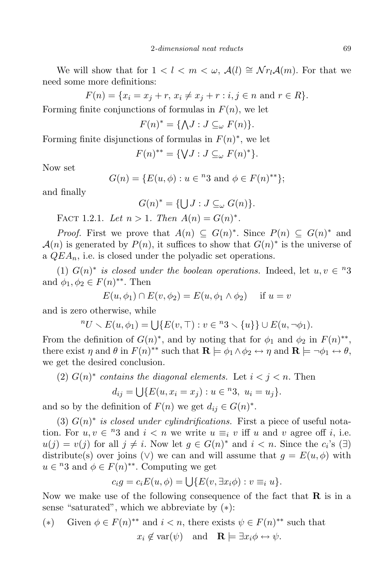We will show that for  $1 < l < m < \omega$ ,  $\mathcal{A}(l) \cong \mathcal{N}r_l\mathcal{A}(m)$ . For that we need some more definitions:

$$
F(n) = \{x_i = x_j + r, \, x_i \neq x_j + r : i, j \in n \text{ and } r \in R\}.
$$

Forming finite conjunctions of formulas in  $F(n)$ , we let

$$
F(n)^* = \{ \bigwedge J : J \subseteq_{\omega} F(n) \}.
$$

Forming finite disjunctions of formulas in *F*(*n*) *∗* , we let

$$
F(n)^{**} = \{ \forall J : J \subseteq_{\omega} F(n)^{*} \}.
$$

Now set

$$
G(n) = \{ E(u, \phi) : u \in {}^{n}3 \text{ and } \phi \in F(n)^{**} \};
$$

and finally

$$
G(n)^* = \{ \bigcup J : J \subseteq_{\omega} G(n) \}.
$$

FACT 1.2.1. Let  $n > 1$ . Then  $A(n) = G(n)^*$ .

*Proof.* First we prove that  $A(n) \subseteq G(n)^*$ . Since  $P(n) \subseteq G(n)^*$  and  $\mathcal{A}(n)$  is generated by  $P(n)$ , it suffices to show that  $G(n)^*$  is the universe of a *QEAn*, i.e. is closed under the polyadic set operations.

(1)  $G(n)^*$  *is closed under the boolean operations.* Indeed, let  $u, v \in \{n\}$ and  $\phi_1, \phi_2 \in F(n)^{**}$ . Then

$$
E(u, \phi_1) \cap E(v, \phi_2) = E(u, \phi_1 \wedge \phi_2) \quad \text{if } u = v
$$

and is zero otherwise, while

$$
{}^{n}U \setminus E(u,\phi_1) = \bigcup \{E(v,\top) : v \in {}^{n}3 \setminus \{u\}\} \cup E(u,\neg \phi_1).
$$

From the definition of  $G(n)^*$ , and by noting that for  $\phi_1$  and  $\phi_2$  in  $F(n)^{**}$ , there exist  $\eta$  and  $\theta$  in  $F(n)$ <sup>\*\*</sup> such that  $\mathbf{R} \models \phi_1 \land \phi_2 \leftrightarrow \eta$  and  $\mathbf{R} \models \neg \phi_1 \leftrightarrow \theta$ , we get the desired conclusion.

(2)  $G(n)^*$  *contains* the *diagonal* elements. Let  $i < j < n$ . Then

$$
d_{ij} = \bigcup \{ E(u, x_i = x_j) : u \in {}^n 3, u_i = u_j \}.
$$

and so by the definition of  $F(n)$  we get  $d_{ij} \in G(n)^*$ .

(3) *G*(*n*) *∗ is closed under cylindrifications.* First a piece of useful notation. For  $u, v \in \mathbb{R}^3$  and  $i < n$  we write  $u \equiv_i v$  iff *u* and *v* agree off *i*, i.e.  $u(j) = v(j)$  for all  $j \neq i$ . Now let  $g \in G(n)^*$  and  $i < n$ . Since the  $c_i$ 's (*∃*) distribute(s) over joins ( $\vee$ ) we can and will assume that  $g = E(u, \phi)$  with  $u \in {}^n 3$  and  $\phi \in F(n)$ <sup>\*\*</sup>. Computing we get

$$
c_i g = c_i E(u, \phi) = \bigcup \{ E(v, \exists x_i \phi) : v \equiv_i u \}.
$$

Now we make use of the following consequence of the fact that **R** is in a sense "saturated", which we abbreviate by (*∗*):

\n- (\*) Given 
$$
\phi \in F(n)^{**}
$$
 and  $i < n$ , there exists  $\psi \in F(n)^{**}$  such that  $x_i \notin \text{var}(\psi)$  and  $\mathbf{R} \models \exists x_i \phi \leftrightarrow \psi$ .
\n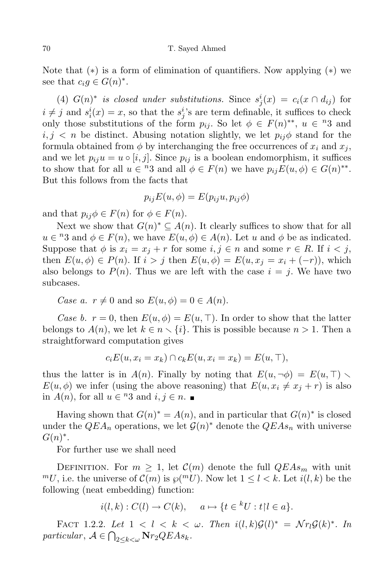Note that (*∗*) is a form of elimination of quantifiers. Now applying (*∗*) we see that  $c_i g \in G(n)^*$ .

(4)  $G(n)^*$  *is closed under substitutions.* Since  $s_j^i(x) = c_i(x \cap d_{ij})$  for  $i \neq j$  and  $s_i^i(x) = x$ , so that the  $s_j^i$ 's are term definable, it suffices to check only those substitutions of the form  $p_{ij}$ . So let  $\phi \in F(n)^{**}$ ,  $u \in \mathbb{R}^3$  and  $i, j < n$  be distinct. Abusing notation slightly, we let  $p_{ij}\phi$  stand for the formula obtained from  $\phi$  by interchanging the free occurrences of  $x_i$  and  $x_j$ , and we let  $p_{ij}u = u \circ [i, j]$ . Since  $p_{ij}$  is a boolean endomorphism, it suffices to show that for all  $u \in {}^n3$  and all  $\phi \in F(n)$  we have  $p_{ij}E(u, \phi) \in G(n)^{**}$ . But this follows from the facts that

$$
p_{ij}E(u,\phi) = E(p_{ij}u, p_{ij}\phi)
$$

and that  $p_{ij}\phi \in F(n)$  for  $\phi \in F(n)$ .

Next we show that  $G(n)^* \subseteq A(n)$ . It clearly suffices to show that for all  $u \in R^3$  and  $\phi \in F(n)$ , we have  $E(u, \phi) \in A(n)$ . Let *u* and  $\phi$  be as indicated. Suppose that  $\phi$  is  $x_i = x_j + r$  for some  $i, j \in n$  and some  $r \in R$ . If  $i < j$ , then  $E(u, \phi) \in P(n)$ . If  $i > j$  then  $E(u, \phi) = E(u, x_j = x_i + (-r))$ , which also belongs to  $P(n)$ . Thus we are left with the case  $i = j$ . We have two subcases.

*Case a.*  $r \neq 0$  and so  $E(u, \phi) = 0 \in A(n)$ .

*Case b.*  $r = 0$ , then  $E(u, \phi) = E(u, \top)$ . In order to show that the latter belongs to  $A(n)$ , we let  $k \in n \setminus \{i\}$ . This is possible because  $n > 1$ . Then a straightforward computation gives

$$
c_i E(u, x_i = x_k) \cap c_k E(u, x_i = x_k) = E(u, \top),
$$

thus the latter is in  $A(n)$ . Finally by noting that  $E(u, \neg \phi) = E(u, \top)$ . *E*(*u*,  $\phi$ ) we infer (using the above reasoning) that  $E(u, x_i \neq x_j + r)$  is also in  $A(n)$ , for all  $u \in \{n\}$  and  $i, j \in n$ .

Having shown that  $G(n)^* = A(n)$ , and in particular that  $G(n)^*$  is closed under the  $QEA_n$  operations, we let  $\mathcal{G}(n)^*$  denote the  $QEA_{n}$  with universe *G*(*n*) *∗* .

For further use we shall need

DEFINITION. For  $m \geq 1$ , let  $\mathcal{C}(m)$  denote the full  $QEAs_m$  with unit *mU*, i.e. the universe of  $C(m)$  is  $\wp(^mU)$ . Now let  $1 \leq l \leq k$ . Let  $i(l, k)$  be the following (neat embedding) function:

$$
i(l,k): C(l) \to C(k), \quad a \mapsto \{t \in {}^{k}U : t | l \in a\}.
$$

FACT 1.2.2. Let  $1 < l < k < \omega$ . Then  $i(l, k) \mathcal{G}(l)^* = \mathcal{N} r_l \mathcal{G}(k)^*$ . In *particular*,  $A \in \bigcap_{2 \leq k < \omega} \mathbf{N} r_2 QEAs_k$ .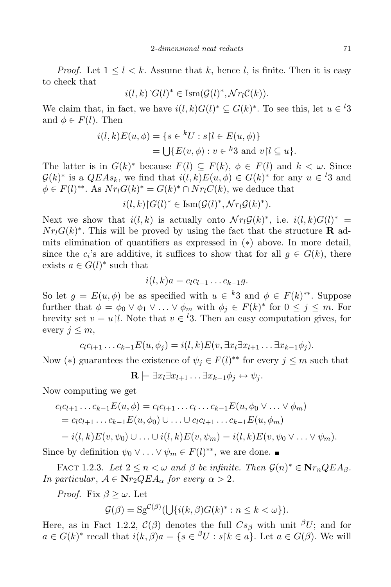*Proof.* Let  $1 \leq l \leq k$ . Assume that *k*, hence *l*, is finite. Then it is easy to check that

$$
i(l,k)\upharpoonright G(l)^* \in \operatorname{Ism}(\mathcal{G}(l)^*, \mathcal{N}r_l\mathcal{C}(k)).
$$

We claim that, in fact, we have  $i(l,k)G(l)^* \subseteq G(k)^*$ . To see this, let  $u \in \{3\}$ and  $\phi \in F(l)$ . Then

$$
i(l,k)E(u,\phi) = \{s \in {}^kU : s \mid l \in E(u,\phi)\}
$$
  
= 
$$
\bigcup \{E(v,\phi) : v \in {}^k3 \text{ and } v \mid l \subseteq u\}.
$$

The latter is in  $G(k)^*$  because  $F(l) \subseteq F(k)$ ,  $\phi \in F(l)$  and  $k < \omega$ . Since  $G(k)^*$  is a  $QEAs_k$ , we find that  $i(l, k)E(u, \phi) \in G(k)^*$  for any  $u \in \mathcal{U}$ 3 and  $\phi \in F(l)$ <sup>\*\*</sup>. As  $Nr_lG(k)^* = G(k)^* \cap Nr_lC(k)$ , we deduce that

$$
i(l,k)\upharpoonright G(l)^* \in \operatorname{Ism}(\mathcal{G}(l)^*, \mathcal{N}r_l\mathcal{G}(k)^*).
$$

Next we show that  $i(l, k)$  is actually onto  $\mathcal{N}r_l\mathcal{G}(k)^*$ , i.e.  $i(l, k)G(l)^*$  =  $Nr_lG(k)^*$ . This will be proved by using the fact that the structure **R** admits elimination of quantifiers as expressed in (*∗*) above. In more detail, since the  $c_i$ 's are additive, it suffices to show that for all  $g \in G(k)$ , there exists  $a \in G(l)^*$  such that

$$
i(l,k)a=c_lc_{l+1}\ldots c_{k-1}g.
$$

So let  $g = E(u, \phi)$  be as specified with  $u \in k3$  and  $\phi \in F(k)^{**}$ . Suppose further that  $\phi = \phi_0 \vee \phi_1 \vee \ldots \vee \phi_m$  with  $\phi_j \in F(k)^*$  for  $0 \leq j \leq m$ . For brevity set  $v = u/l$ . Note that  $v \in {}^{l}3$ . Then an easy computation gives, for every  $j \leq m$ ,

$$
c_l c_{l+1} \ldots c_{k-1} E(u, \phi_j) = i(l, k) E(v, \exists x_l \exists x_{l+1} \ldots \exists x_{k-1} \phi_j).
$$

Now (\*) guarantees the existence of  $\psi_j \in F(l)^{**}$  for every  $j \leq m$  such that

$$
\mathbf{R} \models \exists x_l \exists x_{l+1} \dots \exists x_{k-1} \phi_j \leftrightarrow \psi_j.
$$

Now computing we get

$$
c_{l}c_{l+1}...c_{k-1}E(u,\phi) = c_{l}c_{l+1}...c_{l}...c_{k-1}E(u,\phi_{0} \vee ... \vee \phi_{m})
$$
  
=  $c_{l}c_{l+1}...c_{k-1}E(u,\phi_{0}) \cup ... \cup c_{l}c_{l+1}...c_{k-1}E(u,\phi_{m})$   
=  $i(l,k)E(v,\psi_{0}) \cup ... \cup i(l,k)E(v,\psi_{m}) = i(l,k)E(v,\psi_{0} \vee ... \vee \psi_{m}).$ 

Since by definition  $\psi_0 \vee \ldots \vee \psi_m \in F(l)^{**}$ , we are done.

FACT 1.2.3. Let  $2 \leq n \leq \omega$  and  $\beta$  be infinite. Then  $\mathcal{G}(n)^* \in \mathbf{N}r_n QEA_{\beta}$ . *In particular,*  $A \in \mathbf{N}r_2QEA_\alpha$  *for every*  $\alpha > 2$ *.* 

*Proof.* Fix  $\beta \geq \omega$ . Let

$$
\mathcal{G}(\beta) = \mathrm{Sg}^{\mathcal{C}(\beta)}(\bigcup \{i(k,\beta)G(k)^*: n \leq k < \omega\}).
$$

Here, as in Fact 1.2.2,  $\mathcal{C}(\beta)$  denotes the full  $Cs_{\beta}$  with unit  ${}^{\beta}U$ ; and for  $a \in G(k)^*$  recall that  $i(k, \beta)a = \{s \in {}^{\beta}U : s \mid k \in a\}$ . Let  $a \in G(\beta)$ . We will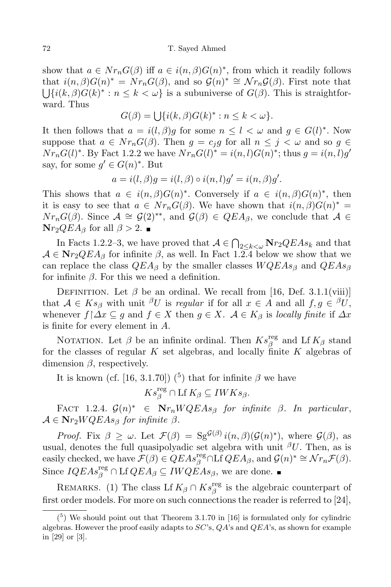show that  $a \in Nr_nG(\beta)$  iff  $a \in i(n, \beta)G(n)^*$ , from which it readily follows that  $i(n, \beta)G(n)^* = Nr_nG(\beta)$ , and so  $G(n)^* \cong Nr_nG(\beta)$ . First note that  $\bigcup \{i(k, \beta)G(k)^*: n \leq k < \omega\}$  is a subuniverse of  $G(\beta)$ . This is straightforward. Thus

$$
G(\beta) = \bigcup \{ i(k, \beta)G(k)^* : n \le k < \omega \}.
$$

It then follows that  $a = i(l, \beta)g$  for some  $n \leq l < \omega$  and  $g \in G(l)^*$ . Now suppose that  $a \in Nr_nG(\beta)$ . Then  $g = c_jg$  for all  $n \leq j < \omega$  and so  $g \in$  $Nr_nG(l)^*$ . By Fact 1.2.2 we have  $Nr_nG(l)^* = i(n, l)G(n)^*$ ; thus  $g = i(n, l)g'$ say, for some  $g' \in G(n)^*$ . But

$$
a = i(l, \beta)g = i(l, \beta) \circ i(n, l)g' = i(n, \beta)g'.
$$

This shows that  $a \in i(n, \beta)G(n)^*$ . Conversely if  $a \in i(n, \beta)G(n)^*$ , then it is easy to see that  $a \in Nr_nG(\beta)$ . We have shown that  $i(n, \beta)G(n)^* =$  $Nr_nG(\beta)$ . Since  $\mathcal{A} \cong \mathcal{G}(2)^{**}$ , and  $\mathcal{G}(\beta) \in QEA_{\beta}$ , we conclude that  $\mathcal{A} \in \mathcal{A}$ **N**<sup>*r*</sup><sub>2</sub>*QEA*<sup>β</sup> for all *β* > 2. ■

In Facts 1.2.2–3, we have proved that  $A \in \bigcap_{2 \le k \le \omega} \mathbf{N} r_2 Q E A s_k$  and that  $A \in \mathbf{N}r_2QEA_\beta$  for infinite  $\beta$ , as well. In Fact 1.2.4 below we show that we can replace the class *QEA<sup>β</sup>* by the smaller classes *WQEAs<sup>β</sup>* and *QEAs<sup>β</sup>* for infinite  $\beta$ . For this we need a definition.

DEFINITION. Let  $\beta$  be an ordinal. We recall from [16, Def. 3.1.1(viii)] that  $A \in Ks_{\beta}$  with unit <sup> $\beta$ </sup>*U* is *regular* if for all  $x \in A$  and all  $f, g \in \beta$ *U*, whenever  $f \upharpoonright \Delta x \subseteq g$  and  $f \in X$  then  $g \in X$ .  $\mathcal{A} \in K_{\beta}$  is *locally finite* if  $\Delta x$ is finite for every element in *A*.

NOTATION. Let  $\beta$  be an infinite ordinal. Then  $Ks_{\beta}^{\text{reg}}$  $\frac{f_{\text{reg}}}{\beta}$  and Lf  $K_{\beta}$  stand for the classes of regular *K* set algebras, and locally finite *K* algebras of dimension *β*, respectively.

It is known (cf. [16, 3.1.70]) (<sup>5</sup>) that for infinite  $\beta$  we have

$$
Ks_{\beta}^{\text{reg}} \cap \text{Lf } K_{\beta} \subseteq IWKs_{\beta}.
$$

 $\text{FACT } 1.2.4. \mathcal{G}(n)^* \in \mathbf{N}r_nWQEAs_{\beta}$  for *infinite*  $\beta$ *. In particular,*  $A \in \mathbf{N}r_2WQEAs_{\beta}$  *for infinite*  $\beta$ *.* 

*Proof.* Fix  $\beta \geq \omega$ . Let  $\mathcal{F}(\beta) = \text{Sg}^{\mathcal{G}(\beta)} i(n, \beta) (\mathcal{G}(n)^*)$ , where  $\mathcal{G}(\beta)$ , as usual, denotes the full quasipolyadic set algebra with unit *<sup>β</sup>U*. Then, as is  $\text{easily checked, we have }\mathcal{F}(\beta) \in QEAs_{\beta}^{\text{reg}} \cap \text{Lf } QEA_{\beta}, \text{ and } \mathcal{G}(n)^* \cong \mathcal{N}r_n\mathcal{F}(\beta).$ Since  $IQEAs_{\beta}^{\text{reg}} \cap \text{Lf } QEA_{\beta} \subseteq IWQEA_{\beta}$ , we are done.

REMARKS. (1) The class Lf  $K_{\beta} \cap Ks_{\beta}^{\text{reg}}$  $\frac{G}{\beta}$  is the algebraic counterpart of first order models. For more on such connections the reader is referred to [24],

 $(5)$  We should point out that Theorem 3.1.70 in [16] is formulated only for cylindric algebras. However the proof easily adapts to *SC*'s, *QA*'s and *QEA*'s, as shown for example in [29] or [3].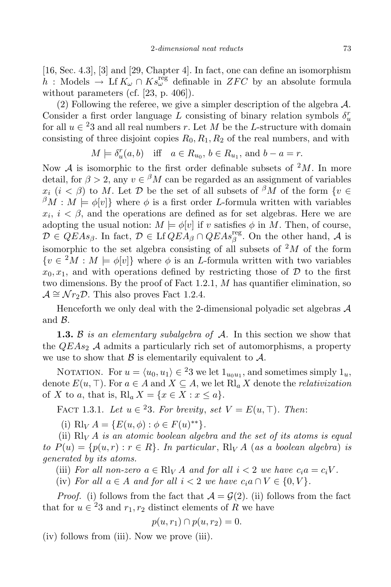[16, Sec. 4.3], [3] and [29, Chapter 4]. In fact, one can define an isomorphism  $h$  : Models  $\rightarrow$  Lf  $K_{\omega} \cap Ks_{\omega}^{\text{reg}}$  definable in *ZFC* by an absolute formula without parameters (cf. [23, p. 406]).

(2) Following the referee, we give a simpler description of the algebra *A*. Consider a first order language *L* consisting of binary relation symbols  $\delta_u^r$ for all  $u \in {}^{2}3$  and all real numbers *r*. Let *M* be the *L*-structure with domain consisting of three disjoint copies  $R_0, R_1, R_2$  of the real numbers, and with

$$
M \models \delta_u^r(a, b) \quad \text{iff} \quad a \in R_{u_0}, \, b \in R_{u_1}, \text{ and } b - a = r.
$$

Now *A* is isomorphic to the first order definable subsets of  $^2M$ . In more detail, for  $\beta > 2$ , any  $v \in {}^{\beta}M$  can be regarded as an assignment of variables  $x_i$  (*i* <  $\beta$ ) to *M*. Let *D* be the set of all subsets of  $\beta \overline{M}$  of the form  $\{v \in$  $\beta M : M \models \phi[v]$  where  $\phi$  is a first order *L*-formula written with variables  $x_i$ ,  $i < \beta$ , and the operations are defined as for set algebras. Here we are adopting the usual notion:  $M \models \phi[v]$  if *v* satisfies  $\phi$  in *M*. Then, of course,  $\mathcal{D} \in QEAs_{\beta}$ . In fact,  $\mathcal{D} \in \text{Lf } QEA_{\beta} \cap QEAs_{\beta}^{\text{reg}}$ . On the other hand, *A* is isomorphic to the set algebra consisting of all subsets of  $^2M$  of the form  ${v \in {}^{2}M : M \models \phi[v]}$  where  $\phi$  is an *L*-formula written with two variables  $x_0, x_1$ , and with operations defined by restricting those of  $D$  to the first two dimensions. By the proof of Fact 1.2.1, *M* has quantifier elimination, so  $\mathcal{A} \cong \mathcal{N}r_2\mathcal{D}$ . This also proves Fact 1.2.4.

Henceforth we only deal with the 2-dimensional polyadic set algebras *A* and *B*.

**1.3.** *B is an elementary subalgebra of A.* In this section we show that the  $QEAs<sub>2</sub>$  *A* admits a particularly rich set of automorphisms, a property we use to show that  $\beta$  is elementarily equivalent to  $\mathcal{A}$ .

NOTATION. For  $u = \langle u_0, u_1 \rangle \in {}^23$  we let  $1_{u_0u_1}$ , and sometimes simply  $1_u$ , denote  $E(u, \top)$ . For  $a \in A$  and  $X \subseteq A$ , we let  $\text{Rl}_a X$  denote the *relativization* of *X* to *a*, that is,  $\text{Rl}_a X = \{x \in X : x \leq a\}.$ 

FACT 1.3.1. *Let*  $u \in {}^{2}3$ *. For brevity, set*  $V = E(u, \top)$ *. Then:* 

 $(i)$   $\text{Rl}_V A = \{E(u, \phi) : \phi \in F(u)^{**}\}.$ 

(ii) Rl*<sup>V</sup> A is an atomic boolean algebra and the set of its atoms is equal to*  $P(u) = \{p(u,r) : r \in R\}$ . In particular,  $R|_V A$  (as a boolean algebra) is *generated by its atoms.*

(iii) *For* all non-zero  $a \in \mathbb{R}$  *y A* and for all  $i < 2$  we have  $c_i a = c_i V$ .

(iv) For all  $a \in A$  and for all  $i < 2$  we have  $c_i a \cap V \in \{0, V\}$ .

*Proof.* (i) follows from the fact that  $A = \mathcal{G}(2)$ . (ii) follows from the fact that for  $u \in {}^{2}3$  and  $r_1, r_2$  distinct elements of *R* we have

$$
p(u,r_1)\cap p(u,r_2)=0.
$$

(iv) follows from (iii). Now we prove (iii).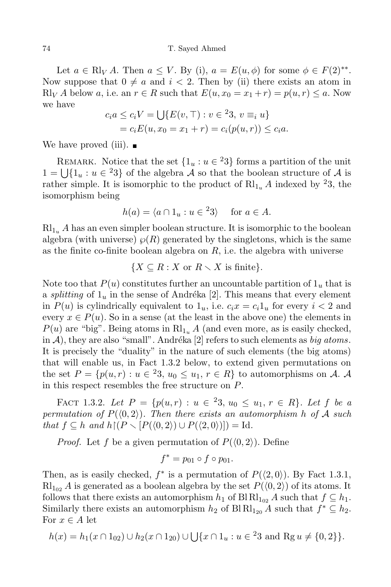Let  $a \in \mathrm{Rl}_V A$ . Then  $a \leq V$ . By (i),  $a = E(u, \phi)$  for some  $\phi \in F(2)^{**}$ . Now suppose that  $0 \neq a$  and  $i < 2$ . Then by (ii) there exists an atom in Rl<sub>V</sub></sub> *A* below *a*, i.e. an  $r \in R$  such that  $E(u, x_0 = x_1 + r) = p(u, r) \leq a$ . Now we have

$$
c_i a \le c_i V = \bigcup \{ E(v, \top) : v \in {}^{2}3, v \equiv_i u \}
$$
  
=  $c_i E(u, x_0 = x_1 + r) = c_i (p(u, r)) \le c_i a$ .

We have proved (iii).  $\blacksquare$ 

REMARK. Notice that the set  $\{1_u : u \in {}^23\}$  forms a partition of the unit 1 =  $\bigcup$ {1<sub>u</sub> : *u* ∈ <sup>2</sup>3} of the algebra *A* so that the boolean structure of *A* is rather simple. It is isomorphic to the product of  $\mathrm{Rl}_{1u}$  *A* indexed by <sup>2</sup>3, the isomorphism being

$$
h(a) = \langle a \cap 1_u : u \in {}^23 \rangle \quad \text{ for } a \in A.
$$

 $Rl_{1u}$  *A* has an even simpler boolean structure. It is isomorphic to the boolean algebra (with universe)  $\wp(R)$  generated by the singletons, which is the same as the finite co-finite boolean algebra on *R*, i.e. the algebra with universe

$$
\{X \subseteq R : X \text{ or } R \setminus X \text{ is finite}\}.
$$

Note too that  $P(u)$  constitutes further an uncountable partition of  $1<sub>u</sub>$  that is a *splitting* of  $1_u$  in the sense of Andréka [2]. This means that every element in  $P(u)$  is cylindrically equivalent to  $1_u$ , i.e.  $c_i x = c_i 1_u$  for every  $i < 2$  and every  $x \in P(u)$ . So in a sense (at the least in the above one) the elements in  $P(u)$  are "big". Being atoms in  $\text{Rl}_{1u}$  *A* (and even more, as is easily checked, in  $\mathcal{A}$ ), they are also "small". Andréka [2] refers to such elements as *big atoms*. It is precisely the "duality" in the nature of such elements (the big atoms) that will enable us, in Fact 1.3.2 below, to extend given permutations on the set  $P = \{p(u,r) : u \in \{23, u_0 \le u_1, r \in R\} \text{ to automorphisms on } A$ . *A* in this respect resembles the free structure on *P*.

 $\text{FACT 1.3.2.}$  *Let*  $P = \{p(u,r) : u \in {}^{2}3, u_0 \leq u_1, r \in R\}$ . Let  $f$  be a *permutation of*  $P(\langle 0, 2 \rangle)$ *. Then there exists an automorphism h of A such*  $that f \subseteq h$  *and*  $h \lceil (P \setminus [P(\langle 0, 2 \rangle) \cup P(\langle 2, 0 \rangle))] ) = \text{Id}.$ 

*Proof.* Let f be a given permutation of  $P(\langle 0, 2 \rangle)$ . Define

$$
f^* = p_{01} \circ f \circ p_{01}.
$$

Then, as is easily checked,  $f^*$  is a permutation of  $P(\langle 2, 0 \rangle)$ . By Fact 1.3.1,  $Rl_{102}$  *A* is generated as a boolean algebra by the set  $P(\langle 0, 2 \rangle)$  of its atoms. It follows that there exists an automorphism  $h_1$  of Bl  $\mathrm{Rl}_{1_{02}}$  *A* such that  $f \subseteq h_1$ . Similarly there exists an automorphism  $h_2$  of Bl  $\mathrm{Rl}_{1_{20}} A$  such that  $f^* \subseteq h_2$ . For  $x \in A$  let

$$
h(x) = h_1(x \cap 1_{02}) \cup h_2(x \cap 1_{20}) \cup \bigcup \{x \cap 1_u : u \in {}^{2}3 \text{ and } \text{Rg } u \neq \{0,2\} \}.
$$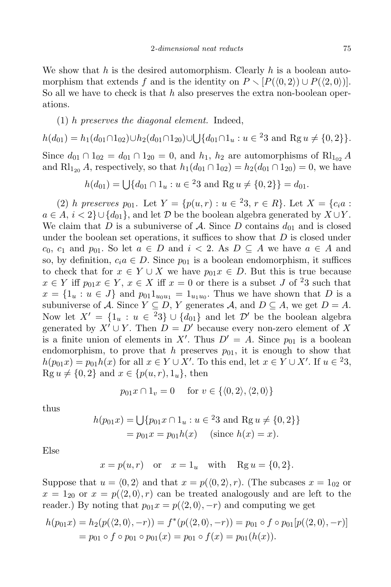We show that *h* is the desired automorphism. Clearly *h* is a boolean automorphism that extends *f* and is the identity on  $P \setminus [P(\langle 0, 2 \rangle) \cup P(\langle 2, 0 \rangle)].$ So all we have to check is that *h* also preserves the extra non-boolean operations.

## (1) *h preserves the diagonal element.* Indeed,

$$
h(d_{01}) = h_1(d_{01} \cap 1_{02}) \cup h_2(d_{01} \cap 1_{20}) \cup \bigcup \{d_{01} \cap 1_u : u \in {}^{2}3 \text{ and } \text{Rg } u \neq \{0, 2\}\}.
$$
  
Since  $d_{01} \cap 1_{02} = d_{01} \cap 1_{20} = 0$ , and  $h_1$ ,  $h_2$  are automorphisms of  $\text{Rl}_{102} A$   
and  $\text{Rl}_{120} A$ , respectively, so that  $h_1(d_{01} \cap 1_{02}) = h_2(d_{01} \cap 1_{20}) = 0$ , we have

$$
h(d_{01}) = \bigcup \{ d_{01} \cap 1_u : u \in {}^{2}3 \text{ and } \text{Rg } u \neq \{0, 2\} \} = d_{01}.
$$

(2) *h preserves*  $p_{01}$ . Let  $Y = \{p(u,r) : u \in {}^{2}3, r \in R\}$ . Let  $X = \{c_i a : f \in R\}$ .  $a \in A$ ,  $i < 2$ }∪{ $d_{01}$ }, and let *D* be the boolean algebra generated by  $X \cup Y$ . We claim that *D* is a subuniverse of *A*. Since *D* contains  $d_{01}$  and is closed under the boolean set operations, it suffices to show that *D* is closed under  $c_0$ ,  $c_1$  and  $p_{01}$ . So let  $a \in D$  and  $i < 2$ . As  $D \subseteq A$  we have  $a \in A$  and so, by definition,  $c_i a \in D$ . Since  $p_{01}$  is a boolean endomorphism, it suffices to check that for  $x \in Y \cup X$  we have  $p_{01}x \in D$ . But this is true because  $x \in Y$  iff  $p_{01}x \in Y$ ,  $x \in X$  iff  $x = 0$  or there is a subset *J* of <sup>2</sup>3 such that  $x = \{1_u : u \in J\}$  and  $p_{01}1_{u_0u_1} = 1_{u_1u_0}$ . Thus we have shown that *D* is a subuniverse of *A*. Since  $Y \subseteq D$ , *Y* generates *A*, and  $D \subseteq A$ , we get  $D = A$ . Now let  $X' = \{1_u : u \in {}^{2}3\} \cup \{d_{01}\}\$ and let  $\mathcal{D}'$  be the boolean algebra generated by  $X' \cup Y$ . Then  $D = D'$  because every non-zero element of X is a finite union of elements in X<sup>*i*</sup>. Thus  $D' = A$ . Since  $p_{01}$  is a boolean endomorphism, to prove that  $h$  preserves  $p_{01}$ , it is enough to show that  $h(p_{01}x) = p_{01}h(x)$  for all  $x \in Y \cup X'$ . To this end, let  $x \in Y \cup X'$ . If  $u \in {}^{2}3$ ,  $\text{Rg } u \neq \{0, 2\} \text{ and } x \in \{p(u, r), 1_u\}, \text{ then}$ 

$$
p_{01}x \cap 1_v = 0 \quad \text{for } v \in \{ \langle 0, 2 \rangle, \langle 2, 0 \rangle \}
$$

thus

$$
h(p_{01}x) = \bigcup \{ p_{01}x \cap 1_u : u \in {}^{2}3 \text{ and } \text{Rg } u \neq \{0, 2\} \}
$$
  
=  $p_{01}x = p_{01}h(x)$  (since  $h(x) = x$ ).

Else

$$
x = p(u, r)
$$
 or  $x = 1_u$  with  $\text{Rg } u = \{0, 2\}.$ 

Suppose that  $u = \langle 0, 2 \rangle$  and that  $x = p(\langle 0, 2 \rangle, r)$ . (The subcases  $x = 1_{02}$  or  $x = 1_{20}$  or  $x = p(\langle 2, 0 \rangle, r)$  can be treated analogously and are left to the reader.) By noting that  $p_{01}x = p(\langle 2, 0 \rangle, -r)$  and computing we get

$$
h(p_{01}x) = h_2(p(\langle 2,0\rangle, -r)) = f^*(p(\langle 2,0\rangle, -r)) = p_{01} \circ f \circ p_{01}[p(\langle 2,0\rangle, -r)]
$$
  
=  $p_{01} \circ f \circ p_{01} \circ p_{01}(x) = p_{01} \circ f(x) = p_{01}(h(x)).$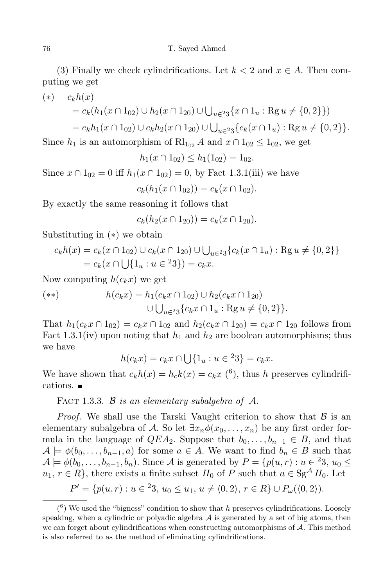(3) Finally we check cylindrifications. Let  $k < 2$  and  $x \in A$ . Then computing we get

(\*) 
$$
c_k h(x) = c_k (h_1(x \cap 1_{02}) \cup h_2(x \cap 1_{20}) \cup \bigcup_{u \in 23} \{x \cap 1_u : \text{Rg } u \neq \{0, 2\}\})
$$

$$
= c_k h_1(x \cap 1_{02}) \cup c_k h_2(x \cap 1_{20}) \cup \bigcup_{u \in 23} \{c_k(x \cap 1_u) : \text{Rg } u \neq \{0, 2\}\}.
$$

Since  $h_1$  is an automorphism of  $\text{Rl}_{1_{02}} A$  and  $x \cap 1_{02} \leq 1_{02}$ , we get

$$
h_1(x \cap 1_{02}) \le h_1(1_{02}) = 1_{02}.
$$

Since  $x \cap 1_{02} = 0$  iff  $h_1(x \cap 1_{02}) = 0$ , by Fact 1.3.1(iii) we have

$$
c_k(h_1(x \cap 1_{02})) = c_k(x \cap 1_{02}).
$$

By exactly the same reasoning it follows that

$$
c_k(h_2(x \cap 1_{20})) = c_k(x \cap 1_{20}).
$$

Substituting in (*∗*) we obtain

$$
c_k h(x) = c_k(x \cap 1_{02}) \cup c_k(x \cap 1_{20}) \cup \bigcup_{u \in 23} \{c_k(x \cap 1_u) : \text{Rg } u \neq \{0, 2\} \}
$$
  
=  $c_k(x \cap \bigcup \{1_u : u \in {}^{2}3\}) = c_k x$ .

Now computing  $h(c_k x)$  we get

$$
(*) \qquad h(c_k x) = h_1(c_k x \cap 1_{02}) \cup h_2(c_k x \cap 1_{20})
$$

$$
\cup \bigcup_{u \in 23} \{c_k x \cap 1_u : \text{Rg } u \neq \{0, 2\} \}.
$$

That  $h_1(c_k x \cap 1_{02}) = c_k x \cap 1_{02}$  and  $h_2(c_k x \cap 1_{20}) = c_k x \cap 1_{20}$  follows from Fact 1.3.1(iv) upon noting that  $h_1$  and  $h_2$  are boolean automorphisms; thus we have

$$
h(c_k x) = c_k x \cap \bigcup \{1_u : u \in {}^{2}3\} = c_k x.
$$

We have shown that  $c_k h(x) = h_c k(x) = c_k x$  (<sup>6</sup>), thus *h* preserves cylindrifications.

FACT 1.3.3. *B is* an elementary subalgebra of  $A$ .

*Proof.* We shall use the Tarski–Vaught criterion to show that  $\beta$  is an elementary subalgebra of *A*. So let  $\exists x_n \phi(x_0, \ldots, x_n)$  be any first order formula in the language of  $QEA_2$ . Suppose that  $b_0, \ldots, b_{n-1} \in B$ , and that  $\mathcal{A} \models \phi(b_0, \ldots, b_{n-1}, a)$  for some  $a \in \mathcal{A}$ . We want to find  $b_n \in \mathcal{B}$  such that  $\mathcal{A} \models \phi(b_0, \ldots, b_{n-1}, b_n)$ . Since A is generated by  $P = \{p(u,r) : u \in {}^23, u_0 \leq$  $u_1, r \in R$ <sup>}</sup>, there exists a finite subset *H*<sub>0</sub> of *P* such that  $a \in \text{Sg}^{\mathcal{A}}$  *H*<sub>0</sub>. Let

$$
P' = \{p(u,r) : u \in {}^{2}3, u_0 \le u_1, u \ne \langle 0,2 \rangle, r \in R\} \cup P_{\omega}(\langle 0,2 \rangle).
$$

 $(6)$  We used the "bigness" condition to show that *h* preserves cylindrifications. Loosely speaking, when a cylindric or polyadic algebra  $A$  is generated by a set of big atoms, then we can forget about cylindrifications when constructing automorphisms of *A*. This method is also referred to as the method of eliminating cylindrifications.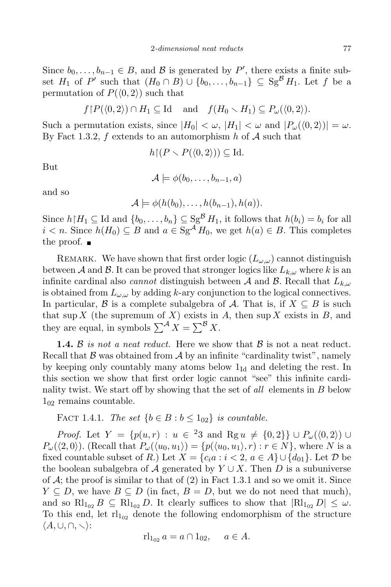Since  $b_0, \ldots, b_{n-1} \in B$ , and  $B$  is generated by  $P'$ , there exists a finite subset  $H_1$  of P' such that  $(H_0 \cap B) \cup \{b_0, \ldots, b_{n-1}\} \subseteq \text{Sg}^B H_1$ . Let f be a permutation of  $P(\langle 0, 2 \rangle)$  such that

*f*<sub>*f*</sub> $P(\langle 0, 2 \rangle) \cap H_1 \subseteq \text{Id}$  and  $f(H_0 \setminus H_1) \subseteq P_\omega(\langle 0, 2 \rangle)$ .

Such a permutation exists, since  $|H_0| < \omega$ ,  $|H_1| < \omega$  and  $|P_\omega(\langle 0, 2 \rangle)| = \omega$ . By Fact 1.3.2, *f* extends to an automorphism *h* of *A* such that

 $h[(P \setminus P(\langle 0, 2 \rangle)) \subseteq \text{Id}.$ 

But

 $\mathcal{A} \models \phi(b_0, \ldots, b_{n-1}, a)$ 

and so

$$
\mathcal{A} \models \phi(h(b_0), \ldots, h(b_{n-1}), h(a)).
$$

Since  $h \upharpoonright H_1 \subseteq \text{Id}$  and  $\{b_0, \ldots, b_n\} \subseteq \text{Sg}^{\mathcal{B}} H_1$ , it follows that  $h(b_i) = b_i$  for all *i*  $\leq$  *n*. Since *h*(*H*<sub>0</sub>)  $\subseteq$  *B* and *a*  $\in$  Sg<sup>*A*</sup> *H*<sub>0</sub>, we get *h*(*a*)  $\in$  *B*. This completes the proof.  $\blacksquare$ 

REMARK. We have shown that first order logic  $(L_{\omega,\omega})$  cannot distinguish between *A* and *B*. It can be proved that stronger logics like  $L_{k,\omega}$  where *k* is an infinite cardinal also *cannot* distinguish between *A* and *B*. Recall that *Lk,ω* is obtained from  $L_{\omega,\omega}$  by adding *k*-ary conjunction to the logical connectives. In particular, *B* is a complete subalgebra of *A*. That is, if  $X \subseteq B$  is such that sup *X* (the supremum of *X*) exists in *A*, then sup *X* exists in *B*, and they are equal, in symbols  $\sum^{\mathcal{A}} X = \sum^{\mathcal{B}} X$ .

**1.4.**  $\beta$  *is not a neat reduct.* Here we show that  $\beta$  is not a neat reduct. Recall that  $\beta$  was obtained from  $\mathcal A$  by an infinite "cardinality twist", namely by keeping only countably many atoms below  $1_{\text{Id}}$  and deleting the rest. In this section we show that first order logic cannot "see" this infinite cardinality twist. We start off by showing that the set of *all* elements in *B* below 1<sup>02</sup> remains countable.

FACT 1.4.1. *The set*  ${b \in B : b \leq 1_{02}}$  *is countable.* 

*Proof.* Let  $Y = \{p(u,r) : u \in {}^{2}3 \text{ and } \text{Rg } u \neq \{0,2\}\} \cup P_{\omega}(\langle 0,2 \rangle) \cup$  $P_{\omega}(\langle 2,0\rangle)$ . (Recall that  $P_{\omega}(\langle u_0,u_1\rangle)=\{p(\langle u_0,u_1\rangle,r):r\in N\}$ , where N is a fixed countable subset of *R*.) Let  $X = \{c_i a : i < 2, a \in A\} \cup \{d_{01}\}\)$ . Let  $D$  be the boolean subalgebra of *A* generated by  $Y \cup X$ . Then *D* is a subuniverse of  $A$ ; the proof is similar to that of  $(2)$  in Fact 1.3.1 and so we omit it. Since *Y*  $\subseteq$  *D*, we have *B*  $\subseteq$  *D* (in fact, *B* = *D*, but we do not need that much), and so  $\text{Rl}_{1_{02}} B \subseteq \text{Rl}_{1_{02}} D$ . It clearly suffices to show that  $|\text{Rl}_{1_{02}} D| \leq \omega$ . To this end, let  $r1_{102}$  denote the following endomorphism of the structure *hA,∪,∩,* r*i*:

$$
rl_{1_{02}} a = a \cap 1_{02}, \quad a \in A.
$$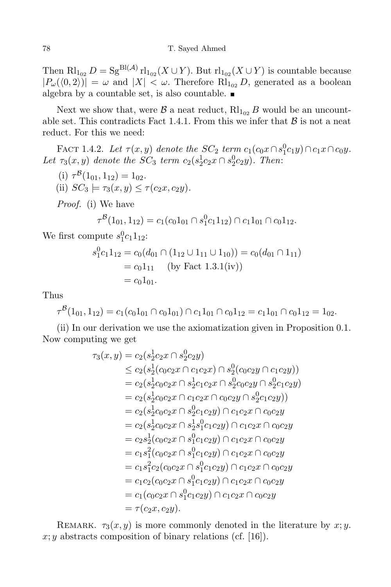Then  $\text{Rl}_{102}$   $D = \text{Sg}^{\text{Bl}(\mathcal{A})} \text{rl}_{102}(X \cup Y)$ . But  $\text{rl}_{102}(X \cup Y)$  is countable because  $|P_\omega(\langle 0, 2 \rangle)| = \omega$  and  $|X| < \omega$ . Therefore Rl<sub>102</sub> *D*, generated as a boolean algebra by a countable set, is also countable.

Next we show that, were  $\beta$  a neat reduct,  $\text{Rl}_{102}$  *B* would be an uncountable set. This contradicts Fact 1.4.1. From this we infer that  $\beta$  is not a neat reduct. For this we need:

FACT 1.4.2. Let  $\tau(x, y)$  denote the  $SC_2$  term  $c_1(c_0x \cap s_1^0c_1y) \cap c_1x \cap c_0y$ . *Let*  $\tau_3(x, y)$  *denote the*  $SC_3$  *term*  $c_2(s_2^1c_2x \cap s_2^0c_2y)$ *. Then*:

 $(i)$   $\tau^{\mathcal{B}}(1_{01}, 1_{12}) = 1_{02}.$ 

(ii)  $SC_3 \models \tau_3(x, y) \leq \tau(c_2x, c_2y)$ .

*Proof.* (i) We have

$$
\tau^{\mathcal{B}}(1_{01}, 1_{12}) = c_1(c_0 1_{01} \cap s_1^0 c_1 1_{12}) \cap c_1 1_{01} \cap c_0 1_{12}.
$$

We first compute  $s_1^0c_11_{12}$ :

$$
s_1^0 c_1 1_{12} = c_0 (d_{01} \cap (1_{12} \cup 1_{11} \cup 1_{10})) = c_0 (d_{01} \cap 1_{11})
$$
  
=  $c_0 1_{11}$  (by Fact 1.3.1(iv))  
=  $c_0 1_{01}$ .

Thus

$$
\tau^{\mathcal{B}}(1_{01}, 1_{12}) = c_1(c_0 1_{01} \cap c_0 1_{01}) \cap c_1 1_{01} \cap c_0 1_{12} = c_1 1_{01} \cap c_0 1_{12} = 1_{02}.
$$

(ii) In our derivation we use the axiomatization given in Proposition 0.1. Now computing we get

$$
\tau_3(x,y) = c_2(s_2^1c_2x \cap s_2^0c_2y)
$$
  
\n
$$
\leq c_2(s_2^1(c_0c_2x \cap c_1c_2x) \cap s_2^0(c_0c_2y \cap c_1c_2y))
$$
  
\n
$$
= c_2(s_2^1c_0c_2x \cap s_2^1c_1c_2x \cap s_2^0c_0c_2y \cap s_2^0c_1c_2y)
$$
  
\n
$$
= c_2(s_2^1c_0c_2x \cap c_1c_2x \cap c_0c_2y \cap s_2^0c_1c_2y))
$$
  
\n
$$
= c_2(s_2^1c_0c_2x \cap s_2^0c_1c_2y) \cap c_1c_2x \cap c_0c_2y
$$
  
\n
$$
= c_2(s_2^1c_0c_2x \cap s_2^1s_1^0c_1c_2y) \cap c_1c_2x \cap c_0c_2y
$$
  
\n
$$
= c_2s_2^1(c_0c_2x \cap s_1^0c_1c_2y) \cap c_1c_2x \cap c_0c_2y
$$
  
\n
$$
= c_1s_1^2(c_0c_2x \cap s_1^0c_1c_2y) \cap c_1c_2x \cap c_0c_2y
$$
  
\n
$$
= c_1s_1^2c_2(c_0c_2x \cap s_1^0c_1c_2y) \cap c_1c_2x \cap c_0c_2y
$$
  
\n
$$
= c_1c_2(c_0c_2x \cap s_1^0c_1c_2y) \cap c_1c_2x \cap c_0c_2y
$$
  
\n
$$
= c_1(c_0c_2x \cap s_1^0c_1c_2y) \cap c_1c_2x \cap c_0c_2y
$$
  
\n
$$
= c_1(c_0c_2x \cap s_1^0c_1c_2y) \cap c_1c_2x \cap c_0c_2y
$$
  
\n
$$
= r(c_2x, c_2y).
$$

REMARK.  $\tau_3(x, y)$  is more commonly denoted in the literature by  $x, y$ .  $x; y$  abstracts composition of binary relations (cf. [16]).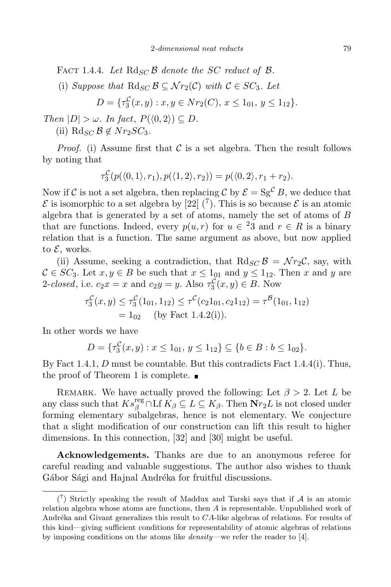FACT 1.4.4. Let  $Rd_{SC}B$  *denote the SC reduct* of  $B$ *.* 

(i) *Suppose* that  $\text{Rd}_{SC}$   $\mathcal{B} \subseteq \mathcal{N}r_2(\mathcal{C})$  with  $\mathcal{C} \in SC_3$ . Let

$$
D = \{\tau_3^{\mathcal{C}}(x, y) : x, y \in Nr_2(C), x \le 1_{01}, y \le 1_{12}\}.
$$

 $\mathbb{P}(P|X| \geq \omega)$ . *In fact,*  $P(\langle 0, 2 \rangle) \subseteq D$ .

(ii)  $\text{Rd}_{SC} \mathcal{B} \notin Nr_2SC_3$ .

*Proof.* (i) Assume first that  $C$  is a set algebra. Then the result follows by noting that

$$
\tau_3^{\mathcal{C}}(p(\langle 0,1 \rangle, r_1), p(\langle 1,2 \rangle, r_2)) = p(\langle 0,2 \rangle, r_1 + r_2).
$$

Now if *C* is not a set algebra, then replacing *C* by  $\mathcal{E} = S g^C B$ , we deduce that  $\mathcal E$  is isomorphic to a set algebra by [22] (<sup>7</sup>). This is so because  $\mathcal E$  is an atomic algebra that is generated by a set of atoms, namely the set of atoms of *B* that are functions. Indeed, every  $p(u,r)$  for  $u \in \{23\}$  and  $r \in R$  is a binary relation that is a function. The same argument as above, but now applied to *E*, works.

(ii) Assume, seeking a contradiction, that  $Rd_{SC}B = \mathcal{N}r_2\mathcal{C}$ , say, with  $C \in SC_3$ . Let  $x, y \in B$  be such that  $x \leq 1_{01}$  and  $y \leq 1_{12}$ . Then *x* and *y* are 2-*closed*, i.e.  $c_2x = x$  and  $c_2y = y$ . Also  $\tau_3^{\mathcal{C}}(x, y) \in B$ . Now

$$
\tau_3^{\mathcal{C}}(x, y) \le \tau_3^{\mathcal{C}}(1_{01}, 1_{12}) \le \tau^{\mathcal{C}}(c_2 1_{01}, c_2 1_{12}) = \tau^{\mathcal{B}}(1_{01}, 1_{12})
$$
  
= 1<sub>02</sub> (by Fact 1.4.2(i)).

In other words we have

$$
D = \{\tau_3^{\mathcal{C}}(x, y) : x \le 1_{01}, y \le 1_{12}\} \subseteq \{b \in B : b \le 1_{02}\}.
$$

By Fact 1.4.1, *D* must be countable. But this contradicts Fact 1.4.4(i). Thus, the proof of Theorem 1 is complete.  $\blacksquare$ 

REMARK. We have actually proved the following: Let  $\beta > 2$ . Let *L* be any class such that  $Ks_{\beta}^{\text{reg}} \cap \text{Lf } K_{\beta} \subseteq L \subseteq K_{\beta}$ . Then  $\textbf{N}r_2L$  is not closed under forming elementary subalgebras, hence is not elementary. We conjecture that a slight modification of our construction can lift this result to higher dimensions. In this connection, [32] and [30] might be useful.

**Acknowledgements.** Thanks are due to an anonymous referee for careful reading and valuable suggestions. The author also wishes to thank Gábor Sági and Hajnal Andréka for fruitful discussions.

<sup>(</sup> 7 ) Strictly speaking the result of Maddux and Tarski says that if *A* is an atomic relation algebra whose atoms are functions, then *A* is representable. Unpublished work of Andréka and Givant generalizes this result to *CA*-like algebras of relations. For results of this kind—giving sufficient conditions for representability of atomic algebras of relations by imposing conditions on the atoms like *density*—we refer the reader to [4].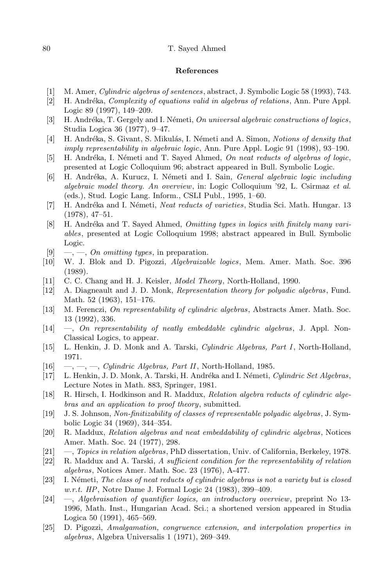## 80 T. Sayed Ahmed

## **References**

- [1] M. Amer, *Cylindric algebras of sentences*, abstract, J. Symbolic Logic 58 (1993), 743.
- [2] H. Andr´eka, *Complexity of equations valid in algebras of relations*, Ann. Pure Appl. Logic 89 (1997), 149–209.
- [3] H. Andr´eka, T. Gergely and I. N´emeti, *On universal algebraic constructions of logics*, Studia Logica 36 (1977), 9–47.
- [4] H. Andr´eka, S. Givant, S. Mikul´as, I. N´emeti and A. Simon, *Notions of density that imply representability in algebraic logic*, Ann. Pure Appl. Logic 91 (1998), 93–190.
- [5] H. Andr´eka, I. N´emeti and T. Sayed Ahmed, *On neat reducts of algebras of logic*, presented at Logic Colloquium 96; abstract appeared in Bull. Symbolic Logic.
- [6] H. Andr´eka, A. Kurucz, I. N´emeti and I. Sain, *General algebraic logic including algebraic model theory. An overview*, in: Logic Colloquium '92, L. Csirmaz *et al.* (eds.), Stud. Logic Lang. Inform., CSLI Publ., 1995, 1–60.
- [7] H. Andr´eka and I. N´emeti, *Neat reducts of varieties*, Studia Sci. Math. Hungar. 13 (1978), 47–51.
- [8] H. Andr´eka and T. Sayed Ahmed, *Omitting types in logics with finitely many variables*, presented at Logic Colloquium 1998; abstract appeared in Bull. Symbolic Logic.
- [9] —, —, *On omitting types*, in preparation.
- [10] W. J. Blok and D. Pigozzi, *Algebraizable logics*, Mem. Amer. Math. Soc. 396 (1989).
- [11] C. C. Chang and H. J. Keisler, *Model Theory*, North-Holland, 1990.
- [12] A. Diagneault and J. D. Monk, *Representation theory for polyadic algebras*, Fund. Math. 52 (1963), 151–176.
- [13] M. Ferenczi, *On representability of cylindric algebras*, Abstracts Amer. Math. Soc. 13 (1992), 336.
- [14] —, *On representability of neatly embeddable cylindric algebras*, J. Appl. Non-Classical Logics, to appear.
- [15] L. Henkin, J. D. Monk and A. Tarski, *Cylindric Algebras, Part I*, North-Holland, 1971.
- [16] —, —, —, *Cylindric Algebras, Part II*, North-Holland, 1985.
- [17] L. Henkin, J. D. Monk, A. Tarski, H. Andr´eka and I. N´emeti, *Cylindric Set Algebras*, Lecture Notes in Math. 883, Springer, 1981.
- [18] R. Hirsch, I. Hodkinson and R. Maddux, *Relation algebra reducts of cylindric algebras and an application to proof theory*, submitted.
- [19] J. S. Johnson, *Non-finitizability of classes of representable polyadic algebras*, J. Symbolic Logic 34 (1969), 344–354.
- [20] R. Maddux, *Relation algebras and neat embeddability of cylindric algebras*, Notices Amer. Math. Soc. 24 (1977), 298.
- [21] —, *Topics in relation algebras*, PhD dissertation, Univ. of California, Berkeley, 1978.
- [22] R. Maddux and A. Tarski, *A sufficient condition for the representability of relation algebras*, Notices Amer. Math. Soc. 23 (1976), A-477.
- [23] I. N´emeti, *The class of neat reducts of cylindric algebras is not a variety but is closed w.r.t. HP*, Notre Dame J. Formal Logic 24 (1983), 399–409.
- [24] —, *Algebraisation of quantifier logics, an introductory overview*, preprint No 13- 1996, Math. Inst., Hungarian Acad. Sci.; a shortened version appeared in Studia Logica 50 (1991), 465–569.
- [25] D. Pigozzi, *Amalgamation, congruence extension, and interpolation properties in algebras*, Algebra Universalis 1 (1971), 269–349.